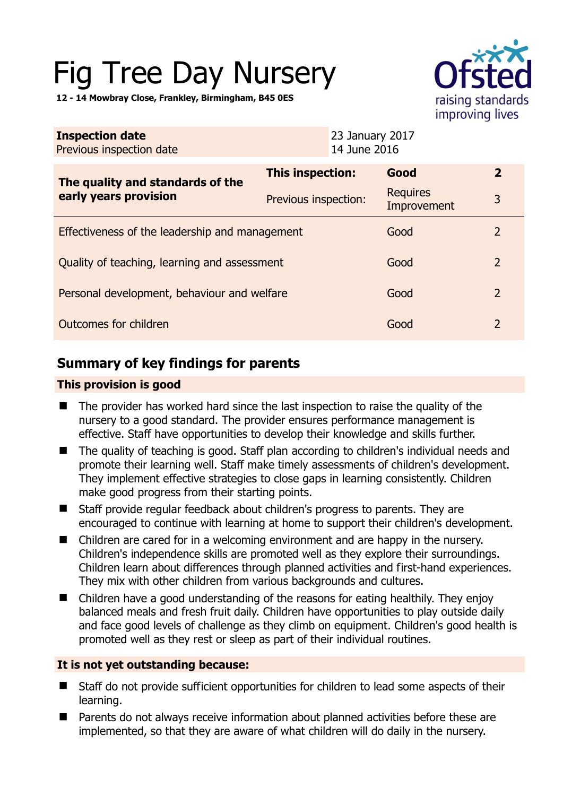# Fig Tree Day Nursery

**12 - 14 Mowbray Close, Frankley, Birmingham, B45 0ES** 

| raising standards |
|-------------------|
| improving lives   |

| <b>Inspection date</b><br>Previous inspection date        |                      | 23 January 2017<br>14 June 2016 |                                |                |
|-----------------------------------------------------------|----------------------|---------------------------------|--------------------------------|----------------|
| The quality and standards of the<br>early years provision | This inspection:     |                                 | Good                           | $\overline{2}$ |
|                                                           | Previous inspection: |                                 | <b>Requires</b><br>Improvement | 3              |
| Effectiveness of the leadership and management            |                      |                                 | Good                           | 2              |
| Quality of teaching, learning and assessment              |                      |                                 | Good                           | $\overline{2}$ |
| Personal development, behaviour and welfare               |                      |                                 | Good                           | $\overline{2}$ |
| Outcomes for children                                     |                      |                                 | Good                           | $\overline{2}$ |

## **Summary of key findings for parents**

#### **This provision is good**

- The provider has worked hard since the last inspection to raise the quality of the nursery to a good standard. The provider ensures performance management is effective. Staff have opportunities to develop their knowledge and skills further.
- The quality of teaching is good. Staff plan according to children's individual needs and promote their learning well. Staff make timely assessments of children's development. They implement effective strategies to close gaps in learning consistently. Children make good progress from their starting points.
- Staff provide regular feedback about children's progress to parents. They are encouraged to continue with learning at home to support their children's development.
- Children are cared for in a welcoming environment and are happy in the nursery. Children's independence skills are promoted well as they explore their surroundings. Children learn about differences through planned activities and first-hand experiences. They mix with other children from various backgrounds and cultures.
- Children have a good understanding of the reasons for eating healthily. They enjoy balanced meals and fresh fruit daily. Children have opportunities to play outside daily and face good levels of challenge as they climb on equipment. Children's good health is promoted well as they rest or sleep as part of their individual routines.

### **It is not yet outstanding because:**

- Staff do not provide sufficient opportunities for children to lead some aspects of their learning.
- Parents do not always receive information about planned activities before these are implemented, so that they are aware of what children will do daily in the nursery.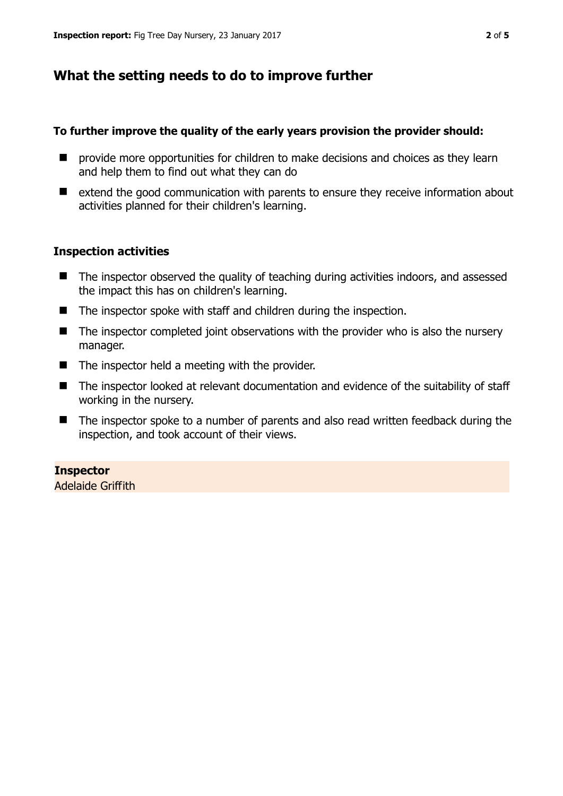## **What the setting needs to do to improve further**

#### **To further improve the quality of the early years provision the provider should:**

- **P** provide more opportunities for children to make decisions and choices as they learn and help them to find out what they can do
- $\blacksquare$  extend the good communication with parents to ensure they receive information about activities planned for their children's learning.

#### **Inspection activities**

- The inspector observed the quality of teaching during activities indoors, and assessed the impact this has on children's learning.
- The inspector spoke with staff and children during the inspection.
- The inspector completed joint observations with the provider who is also the nursery manager.
- $\blacksquare$  The inspector held a meeting with the provider.
- The inspector looked at relevant documentation and evidence of the suitability of staff working in the nursery.
- The inspector spoke to a number of parents and also read written feedback during the inspection, and took account of their views.

#### **Inspector**

Adelaide Griffith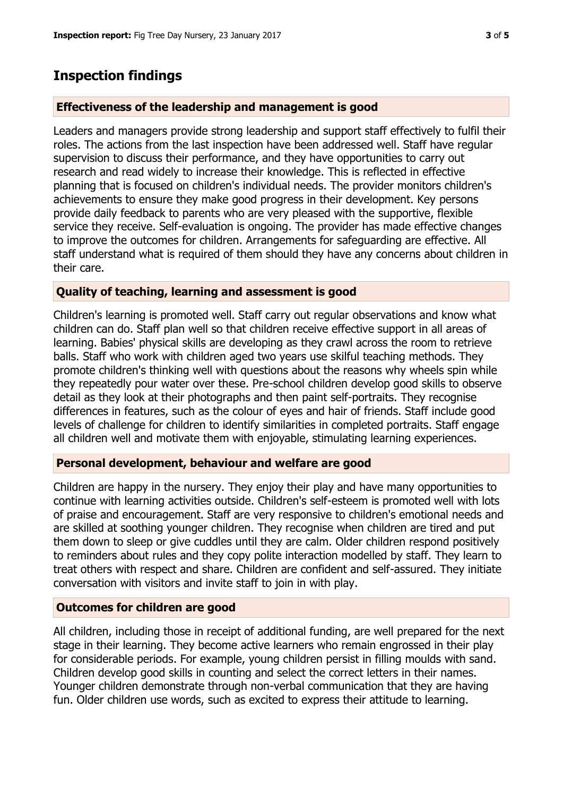## **Inspection findings**

#### **Effectiveness of the leadership and management is good**

Leaders and managers provide strong leadership and support staff effectively to fulfil their roles. The actions from the last inspection have been addressed well. Staff have regular supervision to discuss their performance, and they have opportunities to carry out research and read widely to increase their knowledge. This is reflected in effective planning that is focused on children's individual needs. The provider monitors children's achievements to ensure they make good progress in their development. Key persons provide daily feedback to parents who are very pleased with the supportive, flexible service they receive. Self-evaluation is ongoing. The provider has made effective changes to improve the outcomes for children. Arrangements for safeguarding are effective. All staff understand what is required of them should they have any concerns about children in their care.

#### **Quality of teaching, learning and assessment is good**

Children's learning is promoted well. Staff carry out regular observations and know what children can do. Staff plan well so that children receive effective support in all areas of learning. Babies' physical skills are developing as they crawl across the room to retrieve balls. Staff who work with children aged two years use skilful teaching methods. They promote children's thinking well with questions about the reasons why wheels spin while they repeatedly pour water over these. Pre-school children develop good skills to observe detail as they look at their photographs and then paint self-portraits. They recognise differences in features, such as the colour of eyes and hair of friends. Staff include good levels of challenge for children to identify similarities in completed portraits. Staff engage all children well and motivate them with enjoyable, stimulating learning experiences.

#### **Personal development, behaviour and welfare are good**

Children are happy in the nursery. They enjoy their play and have many opportunities to continue with learning activities outside. Children's self-esteem is promoted well with lots of praise and encouragement. Staff are very responsive to children's emotional needs and are skilled at soothing younger children. They recognise when children are tired and put them down to sleep or give cuddles until they are calm. Older children respond positively to reminders about rules and they copy polite interaction modelled by staff. They learn to treat others with respect and share. Children are confident and self-assured. They initiate conversation with visitors and invite staff to join in with play.

#### **Outcomes for children are good**

All children, including those in receipt of additional funding, are well prepared for the next stage in their learning. They become active learners who remain engrossed in their play for considerable periods. For example, young children persist in filling moulds with sand. Children develop good skills in counting and select the correct letters in their names. Younger children demonstrate through non-verbal communication that they are having fun. Older children use words, such as excited to express their attitude to learning.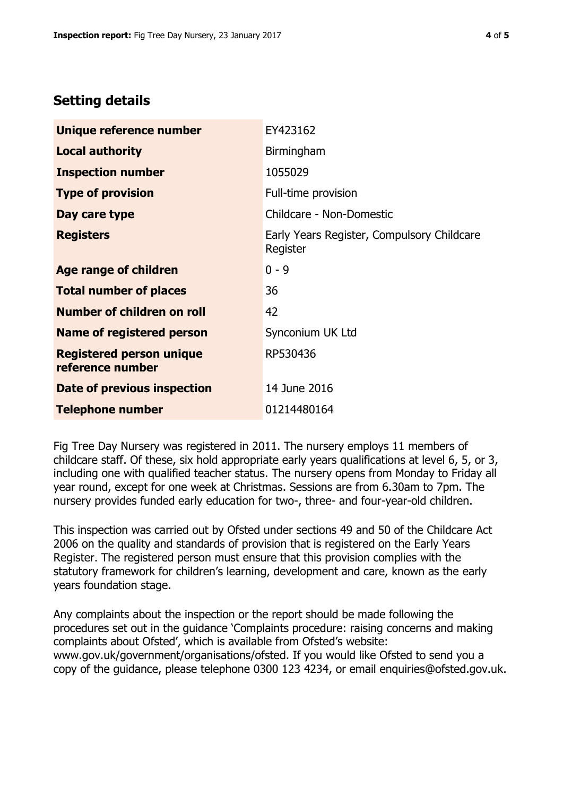## **Setting details**

| Unique reference number                             | EY423162                                               |
|-----------------------------------------------------|--------------------------------------------------------|
| <b>Local authority</b>                              | Birmingham                                             |
| <b>Inspection number</b>                            | 1055029                                                |
| <b>Type of provision</b>                            | Full-time provision                                    |
| Day care type                                       | Childcare - Non-Domestic                               |
| <b>Registers</b>                                    | Early Years Register, Compulsory Childcare<br>Register |
| Age range of children                               | $0 - 9$                                                |
| <b>Total number of places</b>                       | 36                                                     |
| Number of children on roll                          | 42                                                     |
| <b>Name of registered person</b>                    | Synconium UK Ltd                                       |
| <b>Registered person unique</b><br>reference number | RP530436                                               |
| Date of previous inspection                         | 14 June 2016                                           |
| <b>Telephone number</b>                             | 01214480164                                            |

Fig Tree Day Nursery was registered in 2011. The nursery employs 11 members of childcare staff. Of these, six hold appropriate early years qualifications at level 6, 5, or 3, including one with qualified teacher status. The nursery opens from Monday to Friday all year round, except for one week at Christmas. Sessions are from 6.30am to 7pm. The nursery provides funded early education for two-, three- and four-year-old children.

This inspection was carried out by Ofsted under sections 49 and 50 of the Childcare Act 2006 on the quality and standards of provision that is registered on the Early Years Register. The registered person must ensure that this provision complies with the statutory framework for children's learning, development and care, known as the early years foundation stage.

Any complaints about the inspection or the report should be made following the procedures set out in the guidance 'Complaints procedure: raising concerns and making complaints about Ofsted', which is available from Ofsted's website: www.gov.uk/government/organisations/ofsted. If you would like Ofsted to send you a copy of the guidance, please telephone 0300 123 4234, or email enquiries@ofsted.gov.uk.